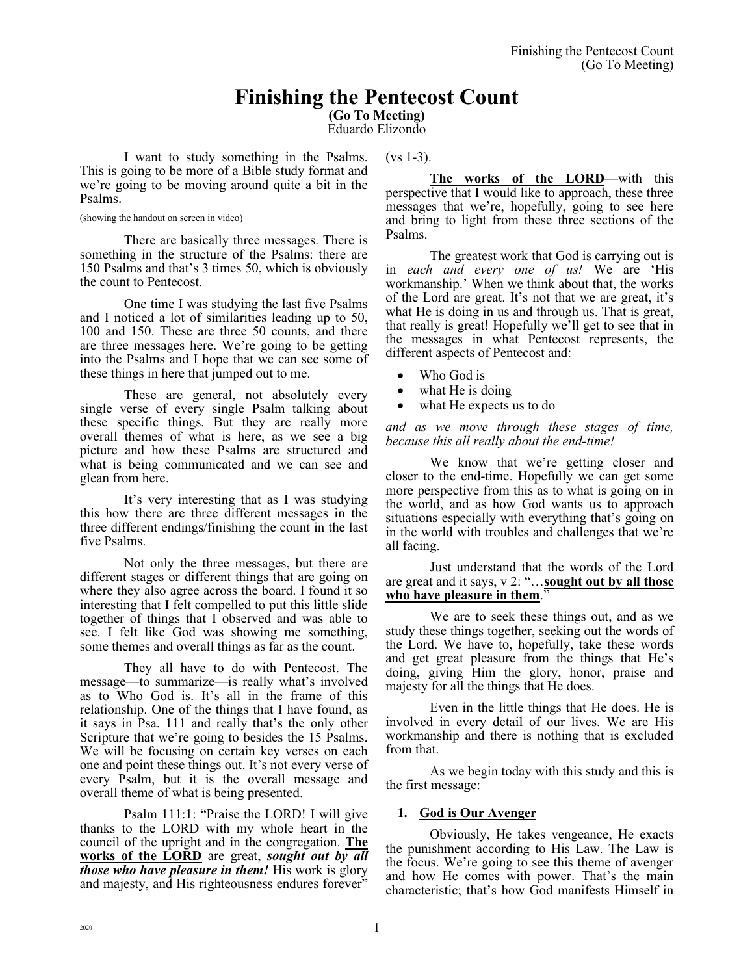# **Finishing the Pentecost Count**

**(Go To Meeting)**

Eduardo Elizondo

 $(vs 1-3)$ .

I want to study something in the Psalms. This is going to be more of a Bible study format and we're going to be moving around quite a bit in the Psalms.

(showing the handout on screen in video)

There are basically three messages. There is something in the structure of the Psalms: there are 150 Psalms and that's 3 times 50, which is obviously the count to Pentecost.

One time I was studying the last five Psalms and I noticed a lot of similarities leading up to 50, 100 and 150. These are three 50 counts, and there are three messages here. We're going to be getting into the Psalms and I hope that we can see some of these things in here that jumped out to me.

These are general, not absolutely every single verse of every single Psalm talking about these specific things. But they are really more overall themes of what is here, as we see a big picture and how these Psalms are structured and what is being communicated and we can see and glean from here.

It's very interesting that as I was studying this how there are three different messages in the three different endings/finishing the count in the last five Psalms.

Not only the three messages, but there are different stages or different things that are going on where they also agree across the board. I found it so interesting that I felt compelled to put this little slide together of things that I observed and was able to see. I felt like God was showing me something, some themes and overall things as far as the count.

They all have to do with Pentecost. The message—to summarize—is really what's involved as to Who God is. It's all in the frame of this relationship. One of the things that I have found, as it says in Psa. 111 and really that's the only other Scripture that we're going to besides the 15 Psalms. We will be focusing on certain key verses on each one and point these things out. It's not every verse of every Psalm, but it is the overall message and overall theme of what is being presented.

Psalm 111:1: "Praise the LORD! I will give thanks to the LORD with my whole heart in the council of the upright and in the congregation. **The works of the LORD** are great, *sought out by all those who have pleasure in them!* His work is glory and majesty, and His righteousness endures forever"

**The works of the LORD**—with this perspective that I would like to approach, these three messages that we're, hopefully, going to see here and bring to light from these three sections of the Psalms.

The greatest work that God is carrying out is in *each and every one of us!* We are 'His workmanship.' When we think about that, the works of the Lord are great. It's not that we are great, it's what He is doing in us and through us. That is great, that really is great! Hopefully we'll get to see that in the messages in what Pentecost represents, the different aspects of Pentecost and:

- Who God is
- what He is doing
- what He expects us to do

*and as we move through these stages of time, because this all really about the end-time!* 

We know that we're getting closer and closer to the end-time. Hopefully we can get some more perspective from this as to what is going on in the world, and as how God wants us to approach situations especially with everything that's going on in the world with troubles and challenges that we're all facing.

Just understand that the words of the Lord are great and it says, v 2: "…**sought out by all those who have pleasure in them**."

We are to seek these things out, and as we study these things together, seeking out the words of the Lord. We have to, hopefully, take these words and get great pleasure from the things that He's doing, giving Him the glory, honor, praise and majesty for all the things that He does.

Even in the little things that He does. He is involved in every detail of our lives. We are His workmanship and there is nothing that is excluded from that.

As we begin today with this study and this is the first message:

# **1. God is Our Avenger**

Obviously, He takes vengeance, He exacts the punishment according to His Law. The Law is the focus. We're going to see this theme of avenger and how He comes with power. That's the main characteristic; that's how God manifests Himself in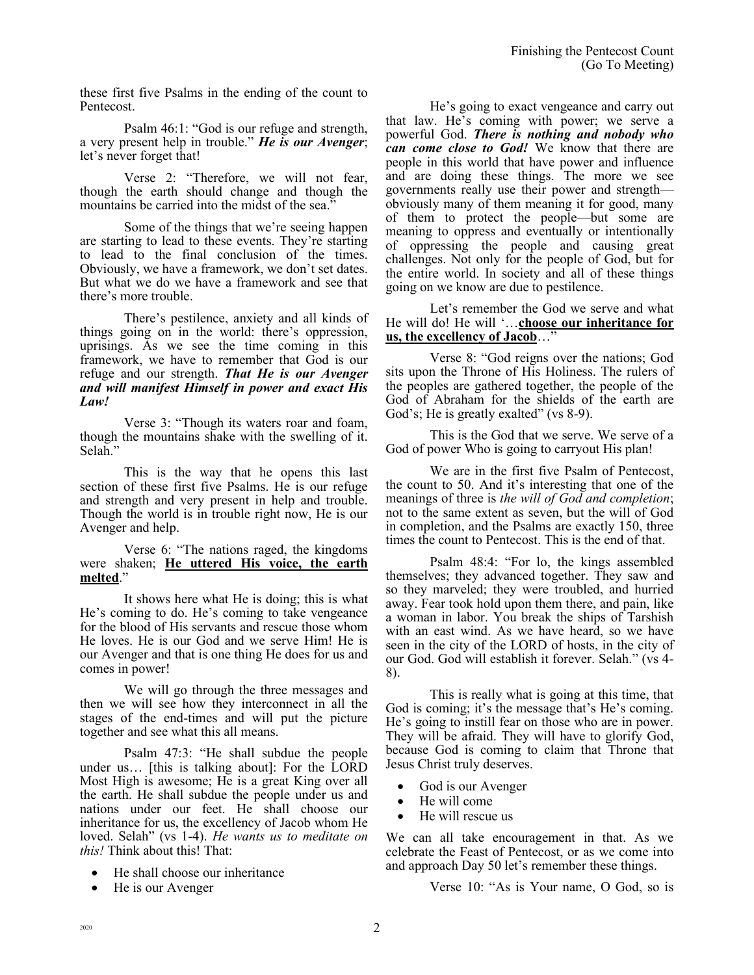these first five Psalms in the ending of the count to Pentecost.

Psalm 46:1: "God is our refuge and strength, a very present help in trouble." *He is our Avenger*; let's never forget that!

Verse 2: "Therefore, we will not fear, though the earth should change and though the mountains be carried into the midst of the sea."

Some of the things that we're seeing happen are starting to lead to these events. They're starting to lead to the final conclusion of the times. Obviously, we have a framework, we don't set dates. But what we do we have a framework and see that there's more trouble.

There's pestilence, anxiety and all kinds of things going on in the world: there's oppression, uprisings. As we see the time coming in this framework, we have to remember that God is our refuge and our strength. *That He is our Avenger and will manifest Himself in power and exact His Law!*

Verse 3: "Though its waters roar and foam, though the mountains shake with the swelling of it. Selah."

This is the way that he opens this last section of these first five Psalms. He is our refuge and strength and very present in help and trouble. Though the world is in trouble right now, He is our Avenger and help.

Verse 6: "The nations raged, the kingdoms were shaken; **He uttered His voice, the earth melted**."

It shows here what He is doing; this is what He's coming to do. He's coming to take vengeance for the blood of His servants and rescue those whom He loves. He is our God and we serve Him! He is our Avenger and that is one thing He does for us and comes in power!

We will go through the three messages and then we will see how they interconnect in all the stages of the end-times and will put the picture together and see what this all means.

Psalm 47:3: "He shall subdue the people under us… [this is talking about]: For the LORD Most High is awesome; He is a great King over all the earth. He shall subdue the people under us and nations under our feet. He shall choose our inheritance for us, the excellency of Jacob whom He loved. Selah" (vs 1-4). *He wants us to meditate on this!* Think about this! That:

- He shall choose our inheritance
- He is our Avenger

He's going to exact vengeance and carry out that law. He's coming with power; we serve a powerful God. *There is nothing and nobody who can come close to God!* We know that there are people in this world that have power and influence and are doing these things. The more we see governments really use their power and strength obviously many of them meaning it for good, many of them to protect the people—but some are meaning to oppress and eventually or intentionally of oppressing the people and causing great challenges. Not only for the people of God, but for the entire world. In society and all of these things going on we know are due to pestilence.

Let's remember the God we serve and what He will do! He will '…**choose our inheritance for us, the excellency of Jacob**…"

Verse 8: "God reigns over the nations; God sits upon the Throne of His Holiness. The rulers of the peoples are gathered together, the people of the God of Abraham for the shields of the earth are God's; He is greatly exalted" (vs 8-9).

This is the God that we serve. We serve of a God of power Who is going to carryout His plan!

We are in the first five Psalm of Pentecost, the count to 50. And it's interesting that one of the meanings of three is *the will of God and completion*; not to the same extent as seven, but the will of God in completion, and the Psalms are exactly 150, three times the count to Pentecost. This is the end of that.

Psalm 48:4: "For lo, the kings assembled themselves; they advanced together. They saw and so they marveled; they were troubled, and hurried away. Fear took hold upon them there, and pain, like a woman in labor. You break the ships of Tarshish with an east wind. As we have heard, so we have seen in the city of the LORD of hosts, in the city of our God. God will establish it forever. Selah." (vs 4- 8).

This is really what is going at this time, that God is coming; it's the message that's He's coming. He's going to instill fear on those who are in power. They will be afraid. They will have to glorify God, because God is coming to claim that Throne that Jesus Christ truly deserves.

- God is our Avenger
- He will come
- He will rescue us

We can all take encouragement in that. As we celebrate the Feast of Pentecost, or as we come into and approach Day 50 let's remember these things.

Verse 10: "As is Your name, O God, so is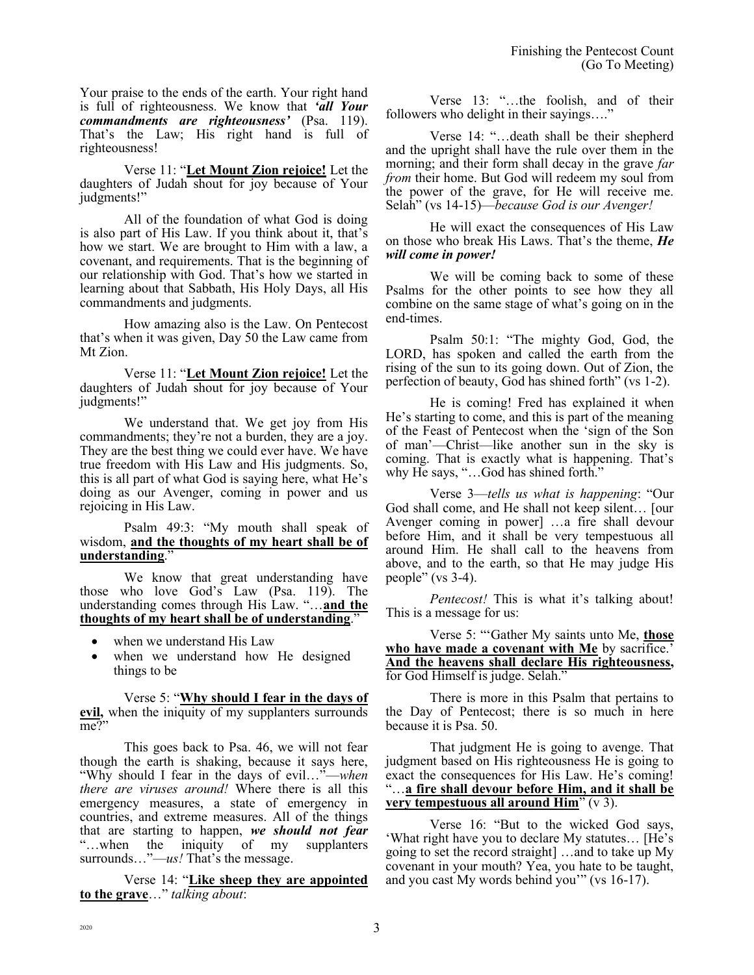Your praise to the ends of the earth. Your right hand is full of righteousness. We know that *'all Your commandments are righteousness'* (Psa. 119). That's the Law; His right hand is full of righteousness!

Verse 11: "**Let Mount Zion rejoice!** Let the daughters of Judah shout for joy because of Your judgments!"

All of the foundation of what God is doing is also part of His Law. If you think about it, that's how we start. We are brought to Him with a law, a covenant, and requirements. That is the beginning of our relationship with God. That's how we started in learning about that Sabbath, His Holy Days, all His commandments and judgments.

How amazing also is the Law. On Pentecost that's when it was given, Day 50 the Law came from Mt Zion.

Verse 11: "**Let Mount Zion rejoice!** Let the daughters of Judah shout for joy because of Your judgments!"

We understand that. We get joy from His commandments; they're not a burden, they are a joy. They are the best thing we could ever have. We have true freedom with His Law and His judgments. So, this is all part of what God is saying here, what He's doing as our Avenger, coming in power and us rejoicing in His Law.

Psalm 49:3: "My mouth shall speak of wisdom, **and the thoughts of my heart shall be of understanding**."

We know that great understanding have those who love God's Law (Psa. 119). The understanding comes through His Law. "…**and the thoughts of my heart shall be of understanding**."

- when we understand His Law
- when we understand how He designed things to be

Verse 5: "**Why should I fear in the days of evil,** when the iniquity of my supplanters surrounds me?"

This goes back to Psa. 46, we will not fear though the earth is shaking, because it says here, "Why should I fear in the days of evil…"—*when there are viruses around!* Where there is all this emergency measures, a state of emergency in countries, and extreme measures. All of the things that are starting to happen, *we should not fear* "…when the iniquity of my supplanters surrounds..."—*us!* That's the message.

Verse 14: "**Like sheep they are appointed to the grave**…" *talking about*:

Verse 13: "…the foolish, and of their followers who delight in their sayings…."

Verse 14: "…death shall be their shepherd and the upright shall have the rule over them in the morning; and their form shall decay in the grave *far from* their home. But God will redeem my soul from the power of the grave, for He will receive me. Selah" (vs 14-15)—*because God is our Avenger!*

He will exact the consequences of His Law on those who break His Laws. That's the theme, *He will come in power!*

We will be coming back to some of these Psalms for the other points to see how they all combine on the same stage of what's going on in the end-times.

Psalm 50:1: "The mighty God, God, the LORD, has spoken and called the earth from the rising of the sun to its going down. Out of Zion, the perfection of beauty, God has shined forth" (vs 1-2).

He is coming! Fred has explained it when He's starting to come, and this is part of the meaning of the Feast of Pentecost when the 'sign of the Son of man'—Christ—like another sun in the sky is coming. That is exactly what is happening. That's why He says, "…God has shined forth."

Verse 3—*tells us what is happening*: "Our God shall come, and He shall not keep silent… [our Avenger coming in power] …a fire shall devour before Him, and it shall be very tempestuous all around Him. He shall call to the heavens from above, and to the earth, so that He may judge His people" (vs 3-4).

*Pentecost!* This is what it's talking about! This is a message for us:

Verse 5: "'Gather My saints unto Me, **those who have made a covenant with Me** by sacrifice.' **And the heavens shall declare His righteousness,** for God Himself is judge. Selah."

There is more in this Psalm that pertains to the Day of Pentecost; there is so much in here because it is Psa. 50.

That judgment He is going to avenge. That judgment based on His righteousness He is going to exact the consequences for His Law. He's coming! "…**a fire shall devour before Him, and it shall be very tempestuous all around Him**" (v 3).

Verse 16: "But to the wicked God says, 'What right have you to declare My statutes… [He's going to set the record straight] …and to take up My covenant in your mouth? Yea, you hate to be taught, and you cast My words behind you'" (vs 16-17).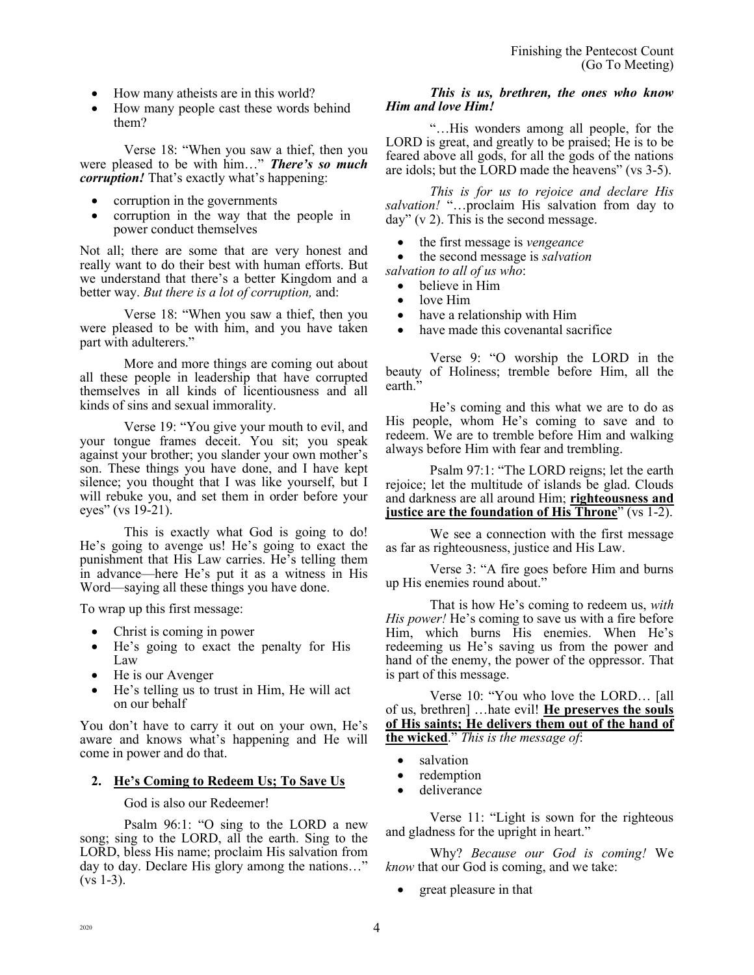- How many atheists are in this world?
- How many people cast these words behind them?

Verse 18: "When you saw a thief, then you were pleased to be with him…" *There's so much corruption!* That's exactly what's happening:

- corruption in the governments
- corruption in the way that the people in power conduct themselves

Not all; there are some that are very honest and really want to do their best with human efforts. But we understand that there's a better Kingdom and a better way. *But there is a lot of corruption,* and:

Verse 18: "When you saw a thief, then you were pleased to be with him, and you have taken part with adulterers."

More and more things are coming out about all these people in leadership that have corrupted themselves in all kinds of licentiousness and all kinds of sins and sexual immorality.

Verse 19: "You give your mouth to evil, and your tongue frames deceit. You sit; you speak against your brother; you slander your own mother's son. These things you have done, and I have kept silence; you thought that I was like yourself, but I will rebuke you, and set them in order before your eyes" (vs 19-21).

This is exactly what God is going to do! He's going to avenge us! He's going to exact the punishment that His Law carries. He's telling them in advance—here He's put it as a witness in His Word—saying all these things you have done.

To wrap up this first message:

- Christ is coming in power
- He's going to exact the penalty for His Law
- He is our Avenger
- He's telling us to trust in Him, He will act on our behalf

You don't have to carry it out on your own, He's aware and knows what's happening and He will come in power and do that.

# **2. He's Coming to Redeem Us; To Save Us**

God is also our Redeemer!

Psalm 96:1: "O sing to the LORD a new song; sing to the LORD, all the earth. Sing to the LORD, bless His name; proclaim His salvation from day to day. Declare His glory among the nations…"  $(vs 1-3)$ .

## *This is us, brethren, the ones who know Him and love Him!*

"…His wonders among all people, for the LORD is great, and greatly to be praised; He is to be feared above all gods, for all the gods of the nations are idols; but the LORD made the heavens" (vs 3-5).

*This is for us to rejoice and declare His salvation!* "…proclaim His salvation from day to day"  $(v 2)$ . This is the second message.

• the first message is *vengeance*

• the second message is *salvation salvation to all of us who*:

- believe in Him
- love Him
- have a relationship with Him
- have made this covenantal sacrifice

Verse 9: "O worship the LORD in the beauty of Holiness; tremble before Him, all the earth."

He's coming and this what we are to do as His people, whom He's coming to save and to redeem. We are to tremble before Him and walking always before Him with fear and trembling.

Psalm 97:1: "The LORD reigns; let the earth rejoice; let the multitude of islands be glad. Clouds and darkness are all around Him; **righteousness and justice are the foundation of His Throne**" (vs 1-2).

We see a connection with the first message as far as righteousness, justice and His Law.

Verse 3: "A fire goes before Him and burns up His enemies round about."

That is how He's coming to redeem us, *with His power!* He's coming to save us with a fire before Him, which burns His enemies. When He's redeeming us He's saving us from the power and hand of the enemy, the power of the oppressor. That is part of this message.

Verse 10: "You who love the LORD… [all of us, brethren] …hate evil! **He preserves the souls of His saints; He delivers them out of the hand of the wicked**." *This is the message of*:

- salvation
- redemption
- deliverance

Verse 11: "Light is sown for the righteous and gladness for the upright in heart."

Why? *Because our God is coming!* We *know* that our God is coming, and we take:

great pleasure in that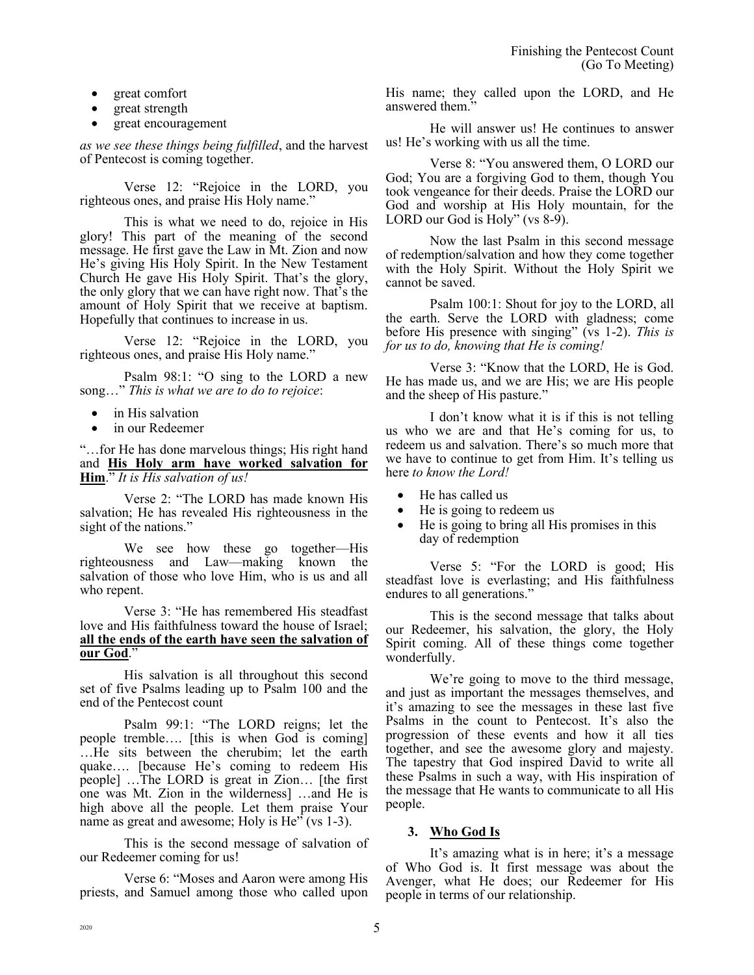- great comfort
- great strength
- great encouragement

*as we see these things being fulfilled*, and the harvest of Pentecost is coming together.

Verse 12: "Rejoice in the LORD, you righteous ones, and praise His Holy name."

This is what we need to do, rejoice in His glory! This part of the meaning of the second message. He first gave the Law in Mt. Zion and now He's giving His Holy Spirit. In the New Testament Church He gave His Holy Spirit. That's the glory, the only glory that we can have right now. That's the amount of Holy Spirit that we receive at baptism. Hopefully that continues to increase in us.

Verse 12: "Rejoice in the LORD, you righteous ones, and praise His Holy name."

Psalm 98:1: "O sing to the LORD a new song…" *This is what we are to do to rejoice*:

- in His salvation
- in our Redeemer

"…for He has done marvelous things; His right hand and **His Holy arm have worked salvation for Him**." *It is His salvation of us!*

Verse 2: "The LORD has made known His salvation; He has revealed His righteousness in the sight of the nations."

We see how these go together—His righteousness and Law—making known the salvation of those who love Him, who is us and all who repent.

Verse 3: "He has remembered His steadfast love and His faithfulness toward the house of Israel; **all the ends of the earth have seen the salvation of our God**."

His salvation is all throughout this second set of five Psalms leading up to Psalm 100 and the end of the Pentecost count

Psalm 99:1: "The LORD reigns; let the people tremble…. [this is when God is coming] …He sits between the cherubim; let the earth quake…. [because He's coming to redeem His people] …The LORD is great in Zion… [the first one was Mt. Zion in the wilderness] …and He is high above all the people. Let them praise Your name as great and awesome; Holy is He" (vs 1-3).

This is the second message of salvation of our Redeemer coming for us!

Verse 6: "Moses and Aaron were among His priests, and Samuel among those who called upon His name; they called upon the LORD, and He answered them."

He will answer us! He continues to answer us! He's working with us all the time.

Verse 8: "You answered them, O LORD our God; You are a forgiving God to them, though You took vengeance for their deeds. Praise the LORD our God and worship at His Holy mountain, for the LORD our God is Holy" (vs 8-9).

Now the last Psalm in this second message of redemption/salvation and how they come together with the Holy Spirit. Without the Holy Spirit we cannot be saved.

Psalm 100:1: Shout for joy to the LORD, all the earth. Serve the LORD with gladness; come before His presence with singing" (vs 1-2). *This is for us to do, knowing that He is coming!*

Verse 3: "Know that the LORD, He is God. He has made us, and we are His; we are His people and the sheep of His pasture."

I don't know what it is if this is not telling us who we are and that He's coming for us, to redeem us and salvation. There's so much more that we have to continue to get from Him. It's telling us here *to know the Lord!*

- He has called us
- He is going to redeem us
- He is going to bring all His promises in this day of redemption

Verse 5: "For the LORD is good; His steadfast love is everlasting; and His faithfulness endures to all generations."

This is the second message that talks about our Redeemer, his salvation, the glory, the Holy Spirit coming. All of these things come together wonderfully.

We're going to move to the third message, and just as important the messages themselves, and it's amazing to see the messages in these last five Psalms in the count to Pentecost. It's also the progression of these events and how it all ties together, and see the awesome glory and majesty. The tapestry that God inspired David to write all these Psalms in such a way, with His inspiration of the message that He wants to communicate to all His people.

# **3. Who God Is**

It's amazing what is in here; it's a message of Who God is. It first message was about the Avenger, what He does; our Redeemer for His people in terms of our relationship.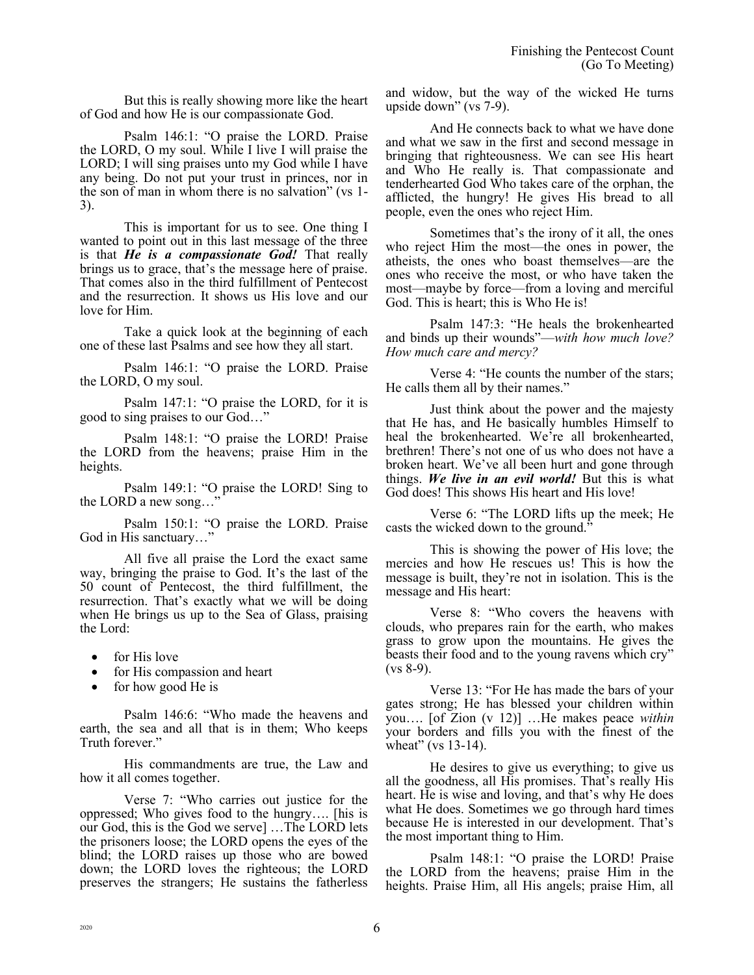But this is really showing more like the heart of God and how He is our compassionate God.

Psalm 146:1: "O praise the LORD. Praise the LORD, O my soul. While I live I will praise the LORD; I will sing praises unto my God while I have any being. Do not put your trust in princes, nor in the son of man in whom there is no salvation" (vs 1- 3).

This is important for us to see. One thing I wanted to point out in this last message of the three is that *He is a compassionate God!* That really brings us to grace, that's the message here of praise. That comes also in the third fulfillment of Pentecost and the resurrection. It shows us His love and our love for Him.

Take a quick look at the beginning of each one of these last Psalms and see how they all start.

Psalm 146:1: "O praise the LORD. Praise the LORD, O my soul.

Psalm 147:1: "O praise the LORD, for it is good to sing praises to our God…"

Psalm 148:1: "O praise the LORD! Praise the LORD from the heavens; praise Him in the heights.

Psalm 149:1: "O praise the LORD! Sing to the LORD a new song…"

Psalm 150:1: "O praise the LORD. Praise God in His sanctuary…"

All five all praise the Lord the exact same way, bringing the praise to God. It's the last of the 50 count of Pentecost, the third fulfillment, the resurrection. That's exactly what we will be doing when He brings us up to the Sea of Glass, praising the Lord:

- for His love
- for His compassion and heart
- for how good He is

Psalm 146:6: "Who made the heavens and earth, the sea and all that is in them; Who keeps Truth forever."

His commandments are true, the Law and how it all comes together.

Verse 7: "Who carries out justice for the oppressed; Who gives food to the hungry…. [his is our God, this is the God we serve] …The LORD lets the prisoners loose; the LORD opens the eyes of the blind; the LORD raises up those who are bowed down; the LORD loves the righteous; the LORD preserves the strangers; He sustains the fatherless and widow, but the way of the wicked He turns upside down" (vs 7-9).

And He connects back to what we have done and what we saw in the first and second message in bringing that righteousness. We can see His heart and Who He really is. That compassionate and tenderhearted God Who takes care of the orphan, the afflicted, the hungry! He gives His bread to all people, even the ones who reject Him.

Sometimes that's the irony of it all, the ones who reject Him the most—the ones in power, the atheists, the ones who boast themselves—are the ones who receive the most, or who have taken the most—maybe by force—from a loving and merciful God. This is heart; this is Who He is!

Psalm 147:3: "He heals the brokenhearted and binds up their wounds"—*with how much love? How much care and mercy?*

Verse 4: "He counts the number of the stars; He calls them all by their names."

Just think about the power and the majesty that He has, and He basically humbles Himself to heal the brokenhearted. We're all brokenhearted, brethren! There's not one of us who does not have a broken heart. We've all been hurt and gone through things. *We live in an evil world!* But this is what God does! This shows His heart and His love!

Verse 6: "The LORD lifts up the meek; He casts the wicked down to the ground."

This is showing the power of His love; the mercies and how He rescues us! This is how the message is built, they're not in isolation. This is the message and His heart:

Verse 8: "Who covers the heavens with clouds, who prepares rain for the earth, who makes grass to grow upon the mountains. He gives the beasts their food and to the young ravens which cry"  $(vs 8-9)$ .

Verse 13: "For He has made the bars of your gates strong; He has blessed your children within you…. [of Zion (v 12)] …He makes peace *within* your borders and fills you with the finest of the wheat" (vs 13-14).

He desires to give us everything; to give us all the goodness, all His promises. That's really His heart. He is wise and loving, and that's why He does what He does. Sometimes we go through hard times because He is interested in our development. That's the most important thing to Him.

Psalm 148:1: "O praise the LORD! Praise the LORD from the heavens; praise Him in the heights. Praise Him, all His angels; praise Him, all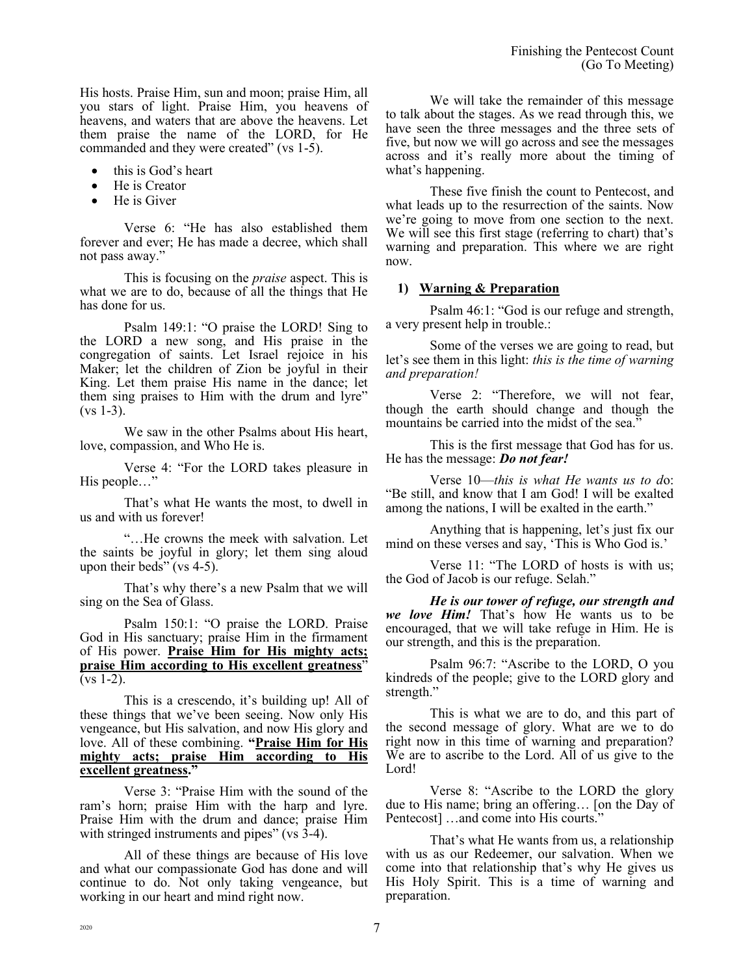His hosts. Praise Him, sun and moon; praise Him, all you stars of light. Praise Him, you heavens of heavens, and waters that are above the heavens. Let them praise the name of the LORD, for He commanded and they were created" (vs 1-5).

- this is God's heart
- He is Creator
- He is Giver

Verse 6: "He has also established them forever and ever; He has made a decree, which shall not pass away."

This is focusing on the *praise* aspect. This is what we are to do, because of all the things that He has done for us.

Psalm 149:1: "O praise the LORD! Sing to the LORD a new song, and His praise in the congregation of saints. Let Israel rejoice in his Maker; let the children of Zion be joyful in their King. Let them praise His name in the dance; let them sing praises to Him with the drum and lyre"  $(vs 1-3)$ .

We saw in the other Psalms about His heart, love, compassion, and Who He is.

Verse 4: "For the LORD takes pleasure in His people…"

That's what He wants the most, to dwell in us and with us forever!

"…He crowns the meek with salvation. Let the saints be joyful in glory; let them sing aloud upon their beds" (vs  $4-5$ ).

That's why there's a new Psalm that we will sing on the Sea of Glass.

Psalm 150:1: "O praise the LORD. Praise God in His sanctuary; praise Him in the firmament of His power. **Praise Him for His mighty acts; praise Him according to His excellent greatness**"  $(vs 1-2)$ .

This is a crescendo, it's building up! All of these things that we've been seeing. Now only His vengeance, but His salvation, and now His glory and love. All of these combining. **"Praise Him for His mighty acts; praise Him according to His excellent greatness."**

Verse 3: "Praise Him with the sound of the ram's horn; praise Him with the harp and lyre. Praise Him with the drum and dance; praise Him with stringed instruments and pipes" (vs  $3-4$ ).

All of these things are because of His love and what our compassionate God has done and will continue to do. Not only taking vengeance, but working in our heart and mind right now.

We will take the remainder of this message to talk about the stages. As we read through this, we have seen the three messages and the three sets of five, but now we will go across and see the messages across and it's really more about the timing of what's happening.

These five finish the count to Pentecost, and what leads up to the resurrection of the saints. Now we're going to move from one section to the next. We will see this first stage (referring to chart) that's warning and preparation. This where we are right now.

#### **1) Warning & Preparation**

Psalm 46:1: "God is our refuge and strength, a very present help in trouble.:

Some of the verses we are going to read, but let's see them in this light: *this is the time of warning and preparation!*

Verse 2: "Therefore, we will not fear, though the earth should change and though the mountains be carried into the midst of the sea.<sup>7</sup>

This is the first message that God has for us. He has the message: *Do not fear!*

Verse 10—*this is what He wants us to d*o: "Be still, and know that I am God! I will be exalted among the nations, I will be exalted in the earth."

Anything that is happening, let's just fix our mind on these verses and say, 'This is Who God is.'

Verse 11: "The LORD of hosts is with us; the God of Jacob is our refuge. Selah."

*He is our tower of refuge, our strength and we love Him!* That's how He wants us to be encouraged, that we will take refuge in Him. He is our strength, and this is the preparation.

Psalm 96:7: "Ascribe to the LORD, O you kindreds of the people; give to the LORD glory and strength."

This is what we are to do, and this part of the second message of glory. What are we to do right now in this time of warning and preparation? We are to ascribe to the Lord. All of us give to the Lord!

Verse 8: "Ascribe to the LORD the glory due to His name; bring an offering… [on the Day of Pentecost] …and come into His courts."

That's what He wants from us, a relationship with us as our Redeemer, our salvation. When we come into that relationship that's why He gives us His Holy Spirit. This is a time of warning and preparation.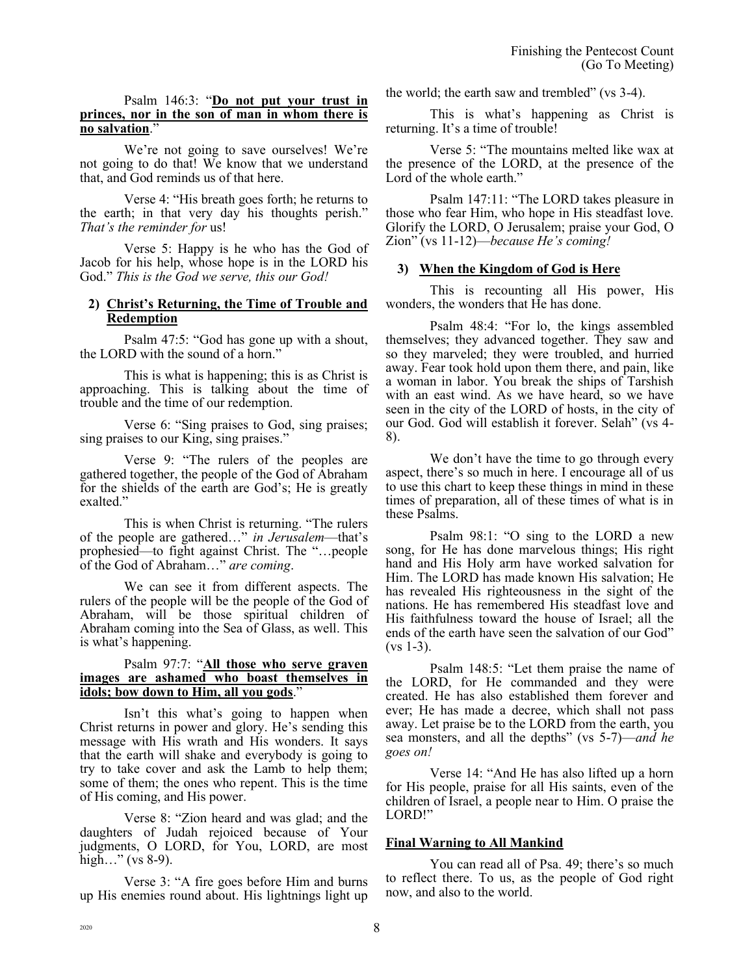#### Psalm 146:3: "**Do not put your trust in princes, nor in the son of man in whom there is no salvation**."

We're not going to save ourselves! We're not going to do that! We know that we understand that, and God reminds us of that here.

Verse 4: "His breath goes forth; he returns to the earth; in that very day his thoughts perish." *That's the reminder for* us!

Verse 5: Happy is he who has the God of Jacob for his help, whose hope is in the LORD his God." *This is the God we serve, this our God!*

#### **2) Christ's Returning, the Time of Trouble and Redemption**

Psalm 47:5: "God has gone up with a shout, the LORD with the sound of a horn."

This is what is happening; this is as Christ is approaching. This is talking about the time of trouble and the time of our redemption.

Verse 6: "Sing praises to God, sing praises; sing praises to our King, sing praises."

Verse 9: "The rulers of the peoples are gathered together, the people of the God of Abraham for the shields of the earth are God's; He is greatly exalted."

This is when Christ is returning. "The rulers of the people are gathered…" *in Jerusalem*—that's prophesied—to fight against Christ. The "…people of the God of Abraham…" *are coming*.

We can see it from different aspects. The rulers of the people will be the people of the God of Abraham, will be those spiritual children of Abraham coming into the Sea of Glass, as well. This is what's happening.

#### Psalm 97:7: "**All those who serve graven images are ashamed who boast themselves in idols; bow down to Him, all you gods**."

Isn't this what's going to happen when Christ returns in power and glory. He's sending this message with His wrath and His wonders. It says that the earth will shake and everybody is going to try to take cover and ask the Lamb to help them; some of them; the ones who repent. This is the time of His coming, and His power.

Verse 8: "Zion heard and was glad; and the daughters of Judah rejoiced because of Your judgments, O LORD, for You, LORD, are most high..." (vs  $8-9$ ).

Verse 3: "A fire goes before Him and burns up His enemies round about. His lightnings light up the world; the earth saw and trembled" (vs 3-4).

This is what's happening as Christ is returning. It's a time of trouble!

Verse 5: "The mountains melted like wax at the presence of the LORD, at the presence of the Lord of the whole earth."

Psalm 147:11: "The LORD takes pleasure in those who fear Him, who hope in His steadfast love. Glorify the LORD, O Jerusalem; praise your God, O Zion" (vs 11-12)—*because He's coming!*

## **3) When the Kingdom of God is Here**

This is recounting all His power, His wonders, the wonders that He has done.

Psalm 48:4: "For lo, the kings assembled themselves; they advanced together. They saw and so they marveled; they were troubled, and hurried away. Fear took hold upon them there, and pain, like a woman in labor. You break the ships of Tarshish with an east wind. As we have heard, so we have seen in the city of the LORD of hosts, in the city of our God. God will establish it forever. Selah" (vs 4- 8).

We don't have the time to go through every aspect, there's so much in here. I encourage all of us to use this chart to keep these things in mind in these times of preparation, all of these times of what is in these Psalms.

Psalm 98:1: "O sing to the LORD a new song, for He has done marvelous things; His right hand and His Holy arm have worked salvation for Him. The LORD has made known His salvation; He has revealed His righteousness in the sight of the nations. He has remembered His steadfast love and His faithfulness toward the house of Israel; all the ends of the earth have seen the salvation of our God"  $(vs 1-3)$ .

Psalm 148:5: "Let them praise the name of the LORD, for He commanded and they were created. He has also established them forever and ever; He has made a decree, which shall not pass away. Let praise be to the LORD from the earth, you sea monsters, and all the depths" (vs 5-7)—*and he goes on!*

Verse 14: "And He has also lifted up a horn for His people, praise for all His saints, even of the children of Israel, a people near to Him. O praise the LORD!"

#### **Final Warning to All Mankind**

You can read all of Psa. 49; there's so much to reflect there. To us, as the people of God right now, and also to the world.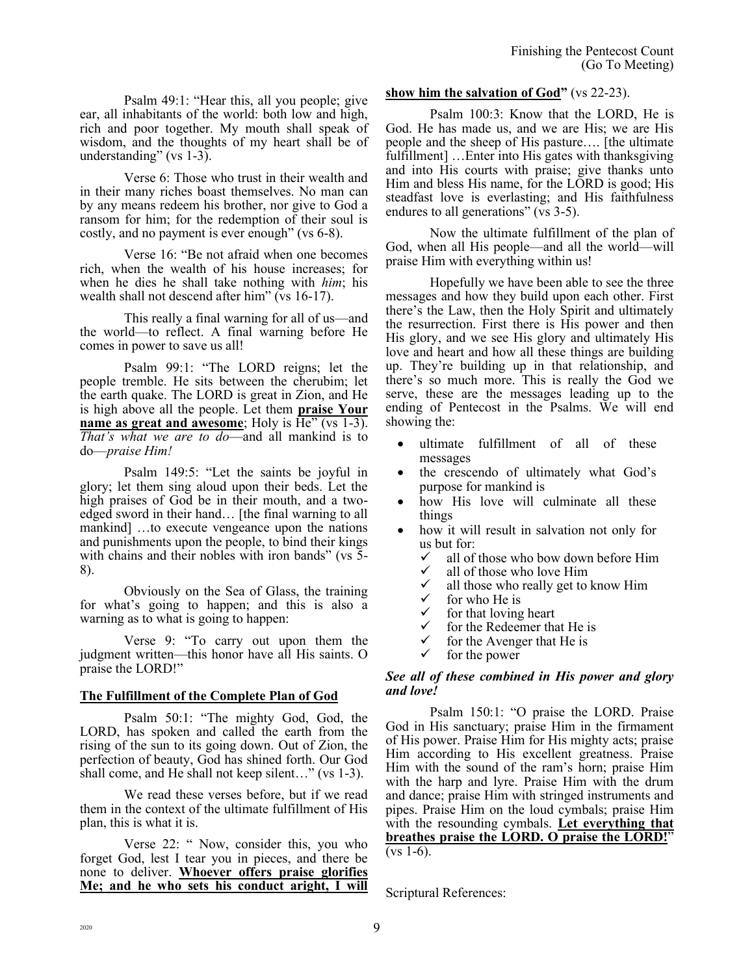Psalm 49:1: "Hear this, all you people; give ear, all inhabitants of the world: both low and high, rich and poor together. My mouth shall speak of wisdom, and the thoughts of my heart shall be of understanding" (vs 1-3).

Verse 6: Those who trust in their wealth and in their many riches boast themselves. No man can by any means redeem his brother, nor give to God a ransom for him; for the redemption of their soul is costly, and no payment is ever enough" (vs 6-8).

Verse 16: "Be not afraid when one becomes rich, when the wealth of his house increases; for when he dies he shall take nothing with *him*; his wealth shall not descend after him" (vs 16-17).

This really a final warning for all of us—and the world—to reflect. A final warning before He comes in power to save us all!

Psalm 99:1: "The LORD reigns; let the people tremble. He sits between the cherubim; let the earth quake. The LORD is great in Zion, and He is high above all the people. Let them **praise Your name as great and awesome**; Holy is  $\overline{He}$ " (vs 1-3). *That's what we are to do*—and all mankind is to do—*praise Him!*

Psalm 149:5: "Let the saints be joyful in glory; let them sing aloud upon their beds. Let the high praises of God be in their mouth, and a twoedged sword in their hand… [the final warning to all mankind] …to execute vengeance upon the nations and punishments upon the people, to bind their kings with chains and their nobles with iron bands" (vs 5-8).

Obviously on the Sea of Glass, the training for what's going to happen; and this is also a warning as to what is going to happen:

Verse 9: "To carry out upon them the judgment written—this honor have all His saints. O praise the LORD!"

# **The Fulfillment of the Complete Plan of God**

Psalm 50:1: "The mighty God, God, the LORD, has spoken and called the earth from the rising of the sun to its going down. Out of Zion, the perfection of beauty, God has shined forth. Our God shall come, and He shall not keep silent…" (vs 1-3).

We read these verses before, but if we read them in the context of the ultimate fulfillment of His plan, this is what it is.

Verse 22: " Now, consider this, you who forget God, lest I tear you in pieces, and there be none to deliver. **Whoever offers praise glorifies Me; and he who sets his conduct aright, I will** 

### **show him the salvation of God"** (vs 22-23).

Psalm 100:3: Know that the LORD, He is God. He has made us, and we are His; we are His people and the sheep of His pasture…. [the ultimate fulfillment] …Enter into His gates with thanksgiving and into His courts with praise; give thanks unto Him and bless His name, for the LORD is good; His steadfast love is everlasting; and His faithfulness endures to all generations" (vs 3-5).

Now the ultimate fulfillment of the plan of God, when all His people—and all the world—will praise Him with everything within us!

Hopefully we have been able to see the three messages and how they build upon each other. First there's the Law, then the Holy Spirit and ultimately the resurrection. First there is His power and then His glory, and we see His glory and ultimately His love and heart and how all these things are building up. They're building up in that relationship, and there's so much more. This is really the God we serve, these are the messages leading up to the ending of Pentecost in the Psalms. We will end showing the:

- ultimate fulfillment of all of these messages
- the crescendo of ultimately what God's purpose for mankind is
- how His love will culminate all these things
- how it will result in salvation not only for us but for:
	- $\checkmark$  all of those who bow down before Him
	- $\checkmark$  all of those who love Him
	- $\checkmark$  all those who really get to know Him  $\checkmark$  for who He is
	- $\checkmark$  for who He is<br> $\checkmark$  for that loving
	- $\checkmark$  for that loving heart
	- $\checkmark$  for the Redeemer that He is<br> $\checkmark$  for the Avenger that He is
	- for the Avenger that He is
	- for the power

#### *See all of these combined in His power and glory and love!*

Psalm 150:1: "O praise the LORD. Praise God in His sanctuary; praise Him in the firmament of His power. Praise Him for His mighty acts; praise Him according to His excellent greatness. Praise Him with the sound of the ram's horn; praise Him with the harp and lyre. Praise Him with the drum and dance; praise Him with stringed instruments and pipes. Praise Him on the loud cymbals; praise Him with the resounding cymbals. **Let everything that breathes praise the LORD. O praise the LORD!**"  $(vs 1-6)$ .

Scriptural References: